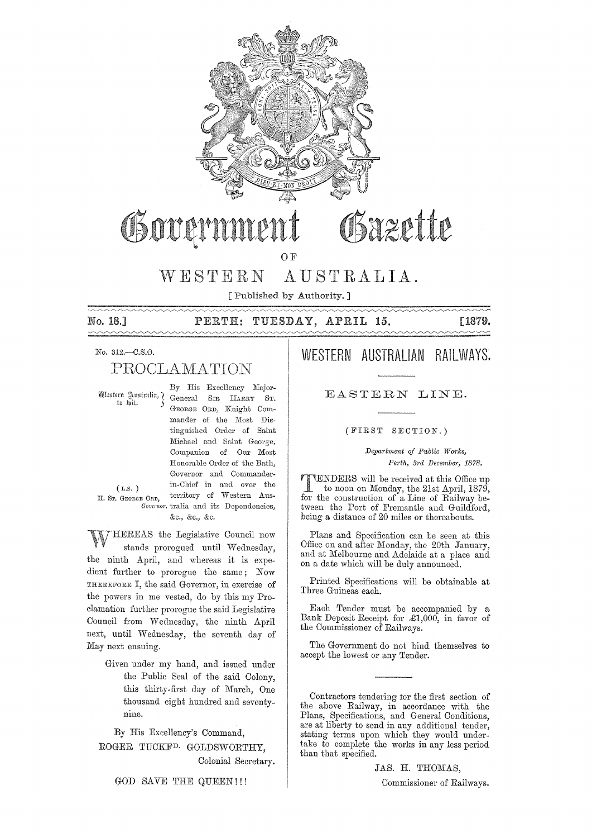

# Bazette

**OF** 

#### WESTERN AUSTRALIA.

[Published by Authority.]

No. 18.]

#### TUESDAY, APRIL 15.  $\mathtt{PERTH:}$

[1879.

#### No. 312.-C.S.O.

# PROCLAMATION

Western Australia, ? to *bit*.

By His Excellency Major-General SIR HARRY ST. GEORGE ORD, Knight Commander of the Most Distinguished Order of Saint Michael and Saint George, Companion of Our Most Honorable Order of the Bath, Governor and Commanderin-Chief in and over the territory of Western Aus-Governor, tralia and its Dependencies, &c., &c., &c.

 $(L.S. )$ H. Sr. GEORGE ORD,

THEREAS the Legislative Council now stands prorogued until Wednesday, the ninth April, and whereas it is expedient further to prorogue the same; Now THEREFORE I, the said Governor, in exercise of the powers in me vested, do by this my Proclamation further prorogue the said Legislative Council from Wednesday, the ninth April next, until Wednesday, the seventh day of May next ensuing.

Given under my hand, and issued under the Public Seal of the said Colony, this thirty-first day of March, One thousand eight hundred and seventynine.

By His Excellency's Command, ROGER TUCKF<sup>D.</sup> GOLDSWORTHY, Colonial Secretary.

## WESTERN AUSTRALIAN RAILWAYS.

EASTERN LINE.

(FIRST SECTION.)

Department of Public Works, Perth, 3rd December, 1878.

VENDERS will be received at this Office up to noon on Monday, the 21st April, 1879, for the construction of a Line of Railway between the Port of Fremantle and Guildford, being a distance of 20 miles or thereabouts.

Plans and Specification can be seen at this Office on and after Monday, the 20th January, and at Melbourne and Adelaide at a place and on a date which will be duly announced.

Printed Specifications will be obtainable at Three Guineas each.

Each Tender must be accompanied by a Bank Deposit Receipt for £1,000, in favor of the Commissioner of Railways.

The Government do not bind themselves to accept the lowest or any Tender.

Contractors tendering for the first section of the above Railway, in accordance with the Plans, Specifications, and General Conditions, are at liberty to send in any additional tender, stating terms upon which they would undertake to complete the works in any less period than that specified.

JAS. H. THOMAS,

GOD SAVE THE QUEEN!!!

Commissioner of Railways.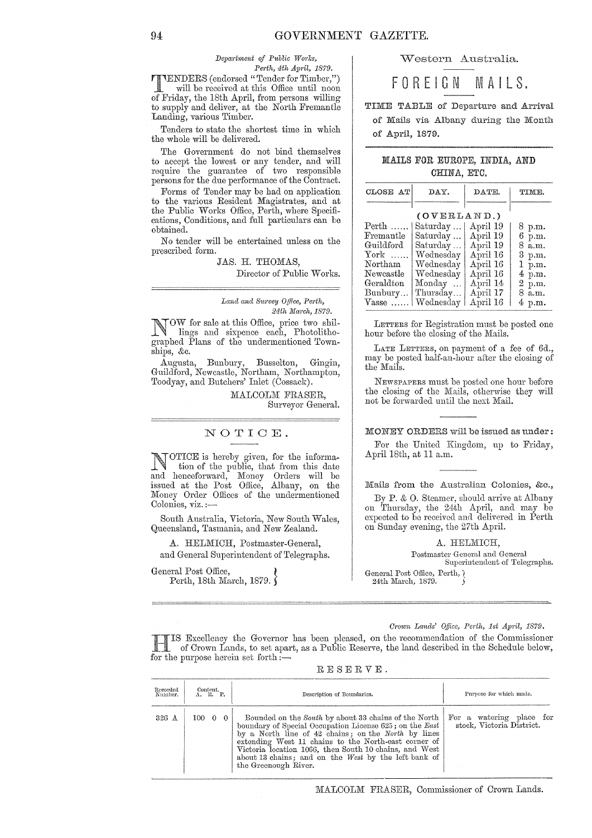$Department of Public Works,$ *Pe?·th, 4th April, 1879.* 

TENDERS (endorsed" Tender for Timber,") will be received at this Office until noon of Friday, the 18th April, from persons willing to supply and deliver, at the North Fremantle Landing, various Timber.

Tenders to state the shortest time in which the whole will be delivered.

The Government do not bind themselves to accept the lowest or any tender, and will require the guarantee of two responsible persons for the due performance of the Contract.

Forms of Tender may be had on application to the various Resident Magistrates, and at the Public Works Office, Perth, where Specifications, Conditions, and full particulars can be obtained.

No tender will be entertained unless on the prescribed form.

> JAS. H. THOMAS, Director of Public Works.

Land and Survey Office, Perth, *24th l'IIat'ch, 1879.* 

NOW for sale at this Office, price two shillings and sixpence each, Photolithographed Plans of the undermentioned Townships, &c.

Augusta, Bunbury, Busselton, Gingin, Guildford, Newcastle, Northam, Northampton, Toodyay, and Butchers' Inlet (Cossack).

> MALCOLM FRASER, Surveyor General.

#### NOTIOE.

NOTIOE is hereby given, for the information of the public, that from this date and henceforward, Money Orders will be issued at the Post Office, Albany, on the Money Order Offices of the undermentioned Colonies, viz. :-

South Australia, Victoria, New South Wales, Queensland, Tasmania, and New Zealand.

A. HELMICH, Postmaster-General,

and General Superintendent of Telegraphs.

General Post Office, Perth, 18th March, 1879.  $\hat{\mathbf{S}}$  vVestern Australia.

FOREIGN M A I L S.

TIME TABLE of Departure and Arrival of Mails via Albany during the Month of April, 1879.

#### MAILS FOR EUROPE, INDIA, AND CHINA, ETC.

| CLOSE AT    | DAY.      | DATE.    | TIME.             |  |  |  |  |  |  |
|-------------|-----------|----------|-------------------|--|--|--|--|--|--|
|             |           |          |                   |  |  |  |  |  |  |
| (OVERLAND.) |           |          |                   |  |  |  |  |  |  |
| $Perth$     | Saturday  | April 19 | 8 p.m.            |  |  |  |  |  |  |
| Fremantle   | Saturday  | April 19 | 6 p.m.            |  |  |  |  |  |  |
| Guildford   | Saturday  | April 19 | 8 a.m.            |  |  |  |  |  |  |
| $\chi$ ork  | Wednesday | April 16 | 3 p.m.            |  |  |  |  |  |  |
| Northam     | Wednesday | April 16 | 1 p.m.            |  |  |  |  |  |  |
| Newcastle   | Wednesday | April 16 | 4 p.m.            |  |  |  |  |  |  |
| Geraldton   | Monday    | April 14 | 2 p.m.            |  |  |  |  |  |  |
| Bunbury     | Thursday  | April 17 | 8 a.m.            |  |  |  |  |  |  |
| $V$ asse    | Wednesday | April 16 | $4~\mathrm{p.m.}$ |  |  |  |  |  |  |

LETTERS for Registration must be posted one hour before the closing of the Mails.

LATE LETTERS, on payment of a fee of Gd., may be posted half-an-hour after the closing of the Mails.

NEWSPAPERS must be posted one hour before the closing of the Mails, otherwise they will not be forwarded until the next Mail.

MONEY ORDERS will be issued as under:

For the United Kingdom, up to Friday, April 18th, at 11 a.m.

Mails from the Australian Colonies, &c.,

By P. & O. Steamer, should arrive at Albany on Thursday, the 24th April, and may be expected to be received and delivered in Perth on Sunday evening, the 27th April.

A. HELMICH,

Postmaster Gcneml and General Superintendent of Telegraphs. General Post Office, Perth,  $\lambda$ 

24th March, 1879.

*Or01On Lands' Office, Perth, 1st Apt-il,* 1879.

HIS Excellency the Governor has been pleased, on the recommendation of the Commissioner of Crown Lands, to set apart, as a Public Reserve, the land described in the Schedule below, for the purpose herein set forth:-

| Recorded<br>Number. | Content.<br>$A$ , $R$ , $P$ | Description of Boundaries.                                                                                                                                                                                                                                                                                                                                                   | Purpose for which made.                               |  |  |  |  |  |
|---------------------|-----------------------------|------------------------------------------------------------------------------------------------------------------------------------------------------------------------------------------------------------------------------------------------------------------------------------------------------------------------------------------------------------------------------|-------------------------------------------------------|--|--|--|--|--|
| 326 A               | 100 0 0                     | Bounded on the South by about 33 chains of the North  <br>boundary of Special Occupation License 625; on the East<br>$by$ a North line of 42 chains; on the North by lines<br>extending West 11 chains to the North-east corner of<br>Victoria location 1066, then South 10 chains, and West<br>about 13 chains; and on the West by the left bank of<br>the Greenough River. | For a watering place for<br>stock, Victoria District. |  |  |  |  |  |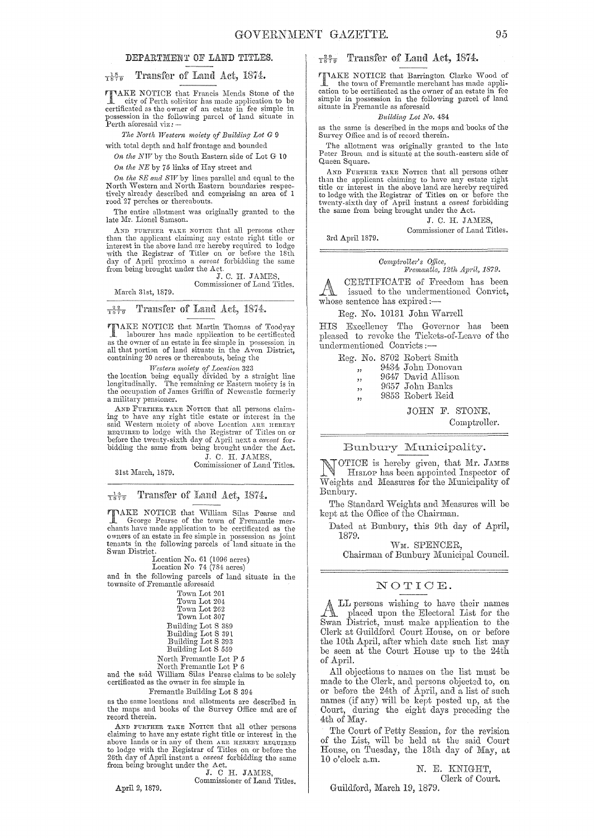#### DEPARTMENT OF LAND TITLES.

#### $\frac{18}{1879}$  Transfer of Land Act, 1874.

**TTAKE NOTICE** that Francis Mends Stone of the city of Perth solicitor has made application to be extra city of the contract has made application to the certificated as the owner of an estate in fee simple in possession in the following parcel of land situate in Perth aforesaid viz: -

The North Western moiety of Building Lot G 9

with total depth and half frontage and bounded

On the NW by the South Eastern side of Lot G 10 On the NE by 75 links of Hay street and

On the SE and SW by lines parallel and equal to the North Western and North Eastern boundaries respectively already described and comprising an area of 1 rood 27 perches or thereabouts.

The entire allotment was originally granted to the late Mr. Lionel Samson.

AND FURTHER TAKE NOTICE that all persons other than the applicant claiming any estate right title or interest in the above land are hereby required to lodge<br>with the Registrar of Titles on or before the 18th<br>day of April proximo a *caveat* forbidding the same from being brought under the Act.

J. C. H. JAMES Commissioner of Land Titles.

March 31st. 1879.

Transfer of Land Act, 1874.  $7\frac{22}{579}$ 

TIAKE NOTICE that Martin Thomas of Toodyay In bourger has made application to be certificated<br>as the owner of an estate in fee simple in possession in<br>all that portion of land situate in the Avon District, containing 20 acres or thereabouts, being the

Western moiety of Location 323<br>the location being equally divided by a straight line<br>longitudinally. The remaining or Eastern moiety is in<br>the occupation of James Griffin of Newcastle formerly a military pensioner.

AND FURTHER TAKE NOTICE that all persons claim-<br>ing to have any right title estate or interest in the mg to have any right three estate or interest in the said Western moiety of above Location ARE HERENY REQUIRED to have the sequence of the sequence of the sequence of the sequence of the sequence of the bidding the same fr

J. C. H. JAMES Commissioner of Land Titles.

31st March, 1879.

Transfer of Land Act, 1874.  $\frac{14}{1870}$ 

**TAKE NOTICE that William Silas Pearse and** George Pearse of the town of Fremantle mer-<br>chants have made application to be certificated as the owners of an estate in fee simple in possession as joint<br>temants in the followi Swan District.

Lectrical No. 61 (1096 acres)<br>Location No. 74 (784 acres)

and in the following parcels of land situate in the townsite of Fremantle aforesaid

| Town Lot 201       |
|--------------------|
| Town Lot 204       |
| Town Lot 262       |
| Town Lot 307       |
| Building Lot S 389 |
| Building Lot S 391 |
| Building Lot S 393 |
|                    |

Building Lot S 559

North Fremantle Lot P $5$ 

North Fremantle Lot P 6<br>and the said William Silas Pearse claims to be solely<br>certificated as the owner in fee simple in

Fremantle Building Lot S 394

as the same locations and allotments are described in the maps and books of the Survey Office and are of record therein.

AND FURTHER TAKE NOTICE that all other persons claiming to have any estate right title or interest in the channing to have any estimate a state in the securities above lands or in any of them are HEREN ERUIRED to lodge with the Registrar of Titles on or before the 26th day of April instant a *caveat* forbidding the same 26th day of April motors where Act.<br>
T. C. H. JAMES,

Commissioner of Land Titles.

April 2, 1879.

### $\frac{29}{1879}$  Transfer of Land Act, 1874.

**TIMAKE NOTICE** that Barrington Clarke Wood of The town of Fremantle merchant has made application to be certificated as the owner of an estate in fee simple in possession in the following parcel of land situate in Fremantle as aforesaid

#### Building Lot No. 484

as the same is described in the maps and books of the Survey Office and is of record therein.

The allotment was originally granted to the late<br>Peter Broun and is situate at the south-eastern side of Queen Square.

AND FURTHER TAKE NOTICE that all persons other than the applicant claiming to have any estate right than the approach teaming to have any estate right<br>title or interest in the above land are hereby required<br>to lodge with the Registrar of Titles on or before the<br>twenty-sixth day of April instant a *caveat* forbidding<br>the

J. C. H. JAMES, Commissioner of Land Titles.

3rd April 1879.

Comptroller's Office,<br>Fremantle, 12th April, 1879.

CERTIFICATE of Freedom has been FN. issued to the undermentioned Convict, whose sentence has expired:-

Reg. No. 10131 John Warrell

HIS Excellency The Governor has been pleased to revoke the Tickets-of-Leave of the undermentioned Convicts:

Reg. No. 8702 Robert Smith

9434 John Donovan  $\overline{\phantom{a}}$ 

- 9647 David Allison ,,
- 9657 John Banks  $,$
- 9853 Robert Reid  $\ddot{\phantom{1}}$

JOHN F. STONE,

Comptroller.

#### Bunbury Municipality.

[OTICE is hereby given, that Mr. JAMES HISLOP has been appointed Inspector of Weights and Measures for the Municipality of Bunbury.

The Standard Weights and Measures will be kept at the Office of the Chairman.

Dated at Bunbury, this 9th day of April, 1879.

WM. SPENCER.

Chairman of Bunbury Municipal Council.

#### NOTICE.

LL persons wishing to have their names<br>placed upon the Electoral List for the  $\mathbb{A}$ Swan District, must make application to the Clerk at Guildford Court House, on or before the 10th April, after which date such list may be seen at the Court House up to the 24th of April.

All objections to names on the list must be made to the Clerk, and persons objected to, on<br>or before the 24th of April, and a list of such names (if any) will be kept posted up, at the Court, during the eight days preceding the 4th of May.

The Court of Petty Session, for the revision of the List, will be held at the said Court House, on Tuesday, the 13th day of May, at 10 o'clock a.m.

N. E. KNIGHT, Clerk of Court.

Guildford, March 19, 1879.